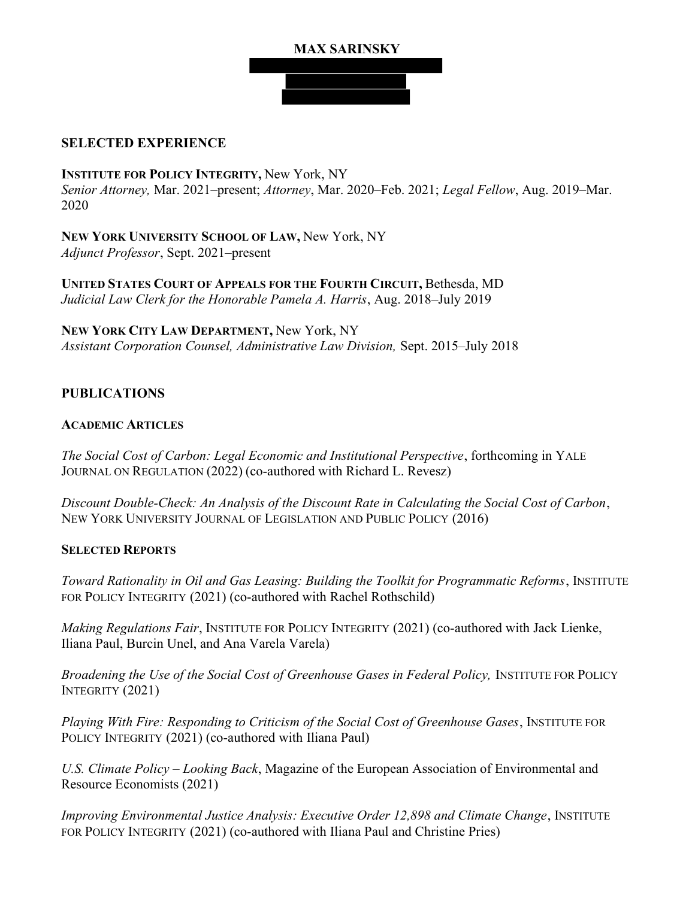# MAX SARINSKY

### SELECTED EXPERIENCE

INSTITUTE FOR POLICY INTEGRITY, New York, NY Senior Attorney, Mar. 2021–present; Attorney, Mar. 2020–Feb. 2021; Legal Fellow, Aug. 2019–Mar. 2020

NEW YORK UNIVERSITY SCHOOL OF LAW, New York, NY Adjunct Professor, Sept. 2021–present

UNITED STATES COURT OF APPEALS FOR THE FOURTH CIRCUIT, Bethesda, MD Judicial Law Clerk for the Honorable Pamela A. Harris, Aug. 2018–July 2019

NEW YORK CITY LAW DEPARTMENT, New York, NY Assistant Corporation Counsel, Administrative Law Division, Sept. 2015–July 2018

## PUBLICATIONS

### ACADEMIC ARTICLES

The Social Cost of Carbon: Legal Economic and Institutional Perspective, forthcoming in YALE JOURNAL ON REGULATION (2022) (co-authored with Richard L. Revesz)

Discount Double-Check: An Analysis of the Discount Rate in Calculating the Social Cost of Carbon, NEW YORK UNIVERSITY JOURNAL OF LEGISLATION AND PUBLIC POLICY (2016)

#### SELECTED REPORTS

Toward Rationality in Oil and Gas Leasing: Building the Toolkit for Programmatic Reforms, INSTITUTE FOR POLICY INTEGRITY (2021) (co-authored with Rachel Rothschild)

Making Regulations Fair, INSTITUTE FOR POLICY INTEGRITY (2021) (co-authored with Jack Lienke, Iliana Paul, Burcin Unel, and Ana Varela Varela)

Broadening the Use of the Social Cost of Greenhouse Gases in Federal Policy, INSTITUTE FOR POLICY INTEGRITY (2021)

Playing With Fire: Responding to Criticism of the Social Cost of Greenhouse Gases, INSTITUTE FOR POLICY INTEGRITY (2021) (co-authored with Iliana Paul)

U.S. Climate Policy – Looking Back, Magazine of the European Association of Environmental and Resource Economists (2021)

Improving Environmental Justice Analysis: Executive Order 12,898 and Climate Change, INSTITUTE FOR POLICY INTEGRITY (2021) (co-authored with Iliana Paul and Christine Pries)